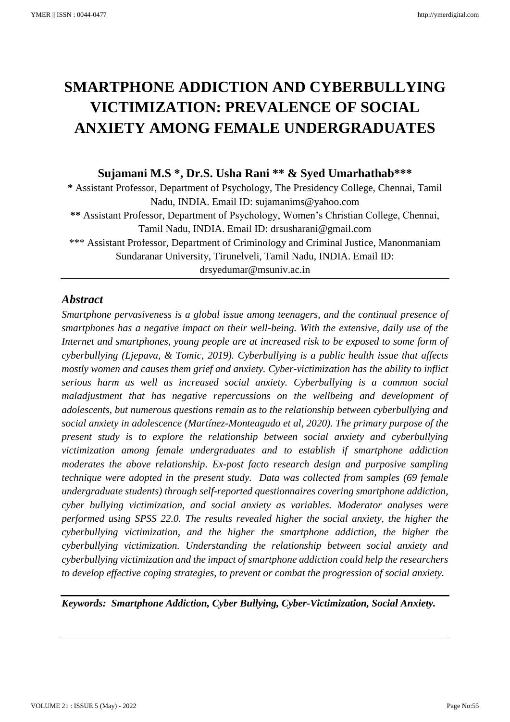# **SMARTPHONE ADDICTION AND CYBERBULLYING VICTIMIZATION: PREVALENCE OF SOCIAL ANXIETY AMONG FEMALE UNDERGRADUATES**

## **Sujamani M.S \* , Dr.S. Usha Rani \*\* & Syed Umarhathab\*\*\***

**\*** Assistant Professor, Department of Psychology, The Presidency College, Chennai, Tamil Nadu, INDIA. Email ID: sujamanims@yahoo.com **\*\*** Assistant Professor, Department of Psychology, Women's Christian College, Chennai, Tamil Nadu, INDIA. Email ID: drsusharani@gmail.com \*\*\* Assistant Professor, Department of Criminology and Criminal Justice, Manonmaniam Sundaranar University, Tirunelveli, Tamil Nadu, INDIA. Email ID: drsyedumar@msuniv.ac.in

## *Abstract*

*Smartphone pervasiveness is a global issue among teenagers, and the continual presence of smartphones has a negative impact on their well-being. With the extensive, daily use of the Internet and smartphones, young people are at increased risk to be exposed to some form of cyberbullying [\(Ljepava,](https://www.researchgate.net/profile/Nikolina-Ljepava) & Tomic, 2019). Cyberbullying is a public health issue that affects mostly women and causes them grief and anxiety. Cyber-victimization has the ability to inflict serious harm as well as increased social anxiety. Cyberbullying is a common social maladjustment that has negative repercussions on the wellbeing and development of adolescents, but numerous questions remain as to the relationship between cyberbullying and social anxiety in adolescence (Martínez-Monteagudo et al, 2020). The primary purpose of the present study is to explore the relationship between social anxiety and cyberbullying victimization among female undergraduates and to establish if smartphone addiction moderates the above relationship. Ex-post facto research design and purposive sampling technique were adopted in the present study. Data was collected from samples (69 female undergraduate students) through self-reported questionnaires covering smartphone addiction, cyber bullying victimization, and social anxiety as variables. Moderator analyses were performed using SPSS 22.0. The results revealed higher the social anxiety, the higher the cyberbullying victimization, and the higher the smartphone addiction, the higher the cyberbullying victimization. Understanding the relationship between social anxiety and cyberbullying victimization and the impact of smartphone addiction could help the researchers to develop effective coping strategies, to prevent or combat the progression of social anxiety.*

*Keywords: Smartphone Addiction, Cyber Bullying, Cyber-Victimization, Social Anxiety.*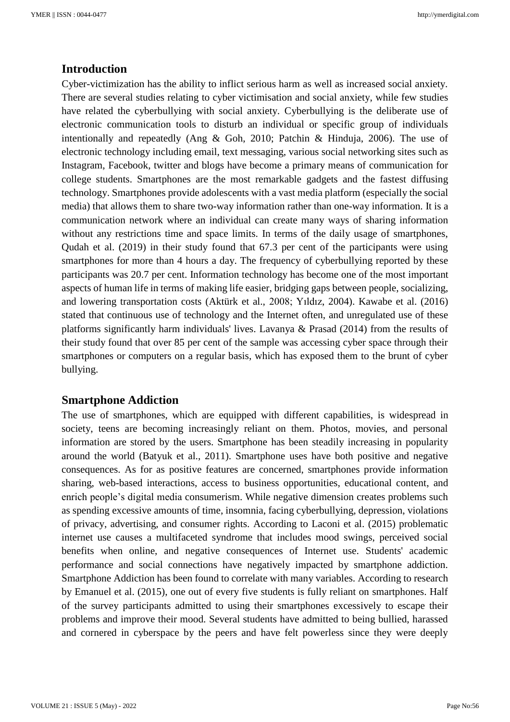## **Introduction**

Cyber-victimization has the ability to inflict serious harm as well as increased social anxiety. There are several studies relating to cyber victimisation and social anxiety, while few studies have related the cyberbullying with social anxiety. Cyberbullying is the deliberate use of electronic communication tools to disturb an individual or specific group of individuals intentionally and repeatedly (Ang & Goh, 2010; Patchin & Hinduja, 2006). The use of electronic technology including email, text messaging, various social networking sites such as Instagram, Facebook, twitter and blogs have become a primary means of communication for college students. Smartphones are the most remarkable gadgets and the fastest diffusing technology. Smartphones provide adolescents with a vast media platform (especially the social media) that allows them to share two-way information rather than one-way information. It is a communication network where an individual can create many ways of sharing information without any restrictions time and space limits. In terms of the daily usage of smartphones, Qudah et al. (2019) in their study found that 67.3 per cent of the participants were using smartphones for more than 4 hours a day. The frequency of cyberbullying reported by these participants was 20.7 per cent. Information technology has become one of the most important aspects of human life in terms of making life easier, bridging gaps between people, socializing, and lowering transportation costs (Aktürk et al., 2008; Yıldız, 2004). Kawabe et al. (2016) stated that continuous use of technology and the Internet often, and unregulated use of these platforms significantly harm individuals' lives. Lavanya & Prasad (2014) from the results of their study found that over 85 per cent of the sample was accessing cyber space through their smartphones or computers on a regular basis, which has exposed them to the brunt of cyber bullying.

#### **Smartphone Addiction**

The use of smartphones, which are equipped with different capabilities, is widespread in society, teens are becoming increasingly reliant on them. Photos, movies, and personal information are stored by the users. Smartphone has been steadily increasing in popularity around the world (Batyuk et al., 2011). Smartphone uses have both positive and negative consequences. As for as positive features are concerned, smartphones provide information sharing, web-based interactions, access to business opportunities, educational content, and enrich people's digital media consumerism. While negative dimension creates problems such as spending excessive amounts of time, insomnia, facing cyberbullying, depression, violations of privacy, advertising, and consumer rights. According to Laconi et al. (2015) problematic internet use causes a multifaceted syndrome that includes mood swings, perceived social benefits when online, and negative consequences of Internet use. Students' academic performance and social connections have negatively impacted by smartphone addiction. Smartphone Addiction has been found to correlate with many variables. According to research by Emanuel et al. (2015), one out of every five students is fully reliant on smartphones. Half of the survey participants admitted to using their smartphones excessively to escape their problems and improve their mood. Several students have admitted to being bullied, harassed and cornered in cyberspace by the peers and have felt powerless since they were deeply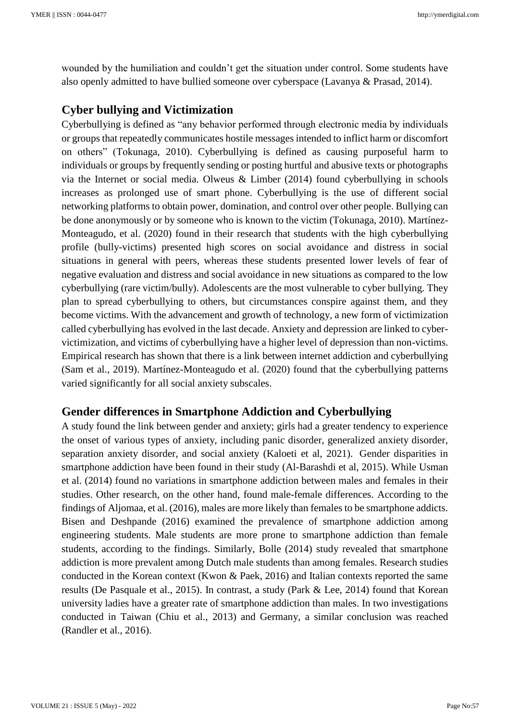wounded by the humiliation and couldn't get the situation under control. Some students have also openly admitted to have bullied someone over cyberspace (Lavanya & Prasad, 2014).

## **Cyber bullying and Victimization**

Cyberbullying is defined as "any behavior performed through electronic media by individuals or groups that repeatedly communicates hostile messages intended to inflict harm or discomfort on others" (Tokunaga, 2010). Cyberbullying is defined as causing purposeful harm to individuals or groups by frequently sending or posting hurtful and abusive texts or photographs via the Internet or social media. Olweus & Limber (2014) found cyberbullying in schools increases as prolonged use of smart phone. Cyberbullying is the use of different social networking platforms to obtain power, domination, and control over other people. Bullying can be done anonymously or by someone who is known to the victim (Tokunaga, 2010). Martínez-Monteagudo, et al. (2020) found in their research that students with the high cyberbullying profile (bully-victims) presented high scores on social avoidance and distress in social situations in general with peers, whereas these students presented lower levels of fear of negative evaluation and distress and social avoidance in new situations as compared to the low cyberbullying (rare victim/bully). Adolescents are the most vulnerable to cyber bullying. They plan to spread cyberbullying to others, but circumstances conspire against them, and they become victims. With the advancement and growth of technology, a new form of victimization called cyberbullying has evolved in the last decade. Anxiety and depression are linked to cybervictimization, and victims of cyberbullying have a higher level of depression than non-victims. Empirical research has shown that there is a link between internet addiction and cyberbullying (Sam et al., 2019). Martínez-Monteagudo et al. (2020) found that the cyberbullying patterns varied significantly for all social anxiety subscales.

## **Gender differences in Smartphone Addiction and Cyberbullying**

A study found the link between gender and anxiety; girls had a greater tendency to experience the onset of various types of anxiety, including panic disorder, generalized anxiety disorder, separation anxiety disorder, and social anxiety (Kaloeti et al, 2021). Gender disparities in smartphone addiction have been found in their study (Al-Barashdi et al, 2015). While Usman et al. (2014) found no variations in smartphone addiction between males and females in their studies. Other research, on the other hand, found male-female differences. According to the findings of Aljomaa, et al. (2016), males are more likely than females to be smartphone addicts. Bisen and Deshpande (2016) examined the prevalence of smartphone addiction among engineering students. Male students are more prone to smartphone addiction than female students, according to the findings. Similarly, Bolle (2014) study revealed that smartphone addiction is more prevalent among Dutch male students than among females. Research studies conducted in the Korean context (Kwon & Paek, 2016) and Italian contexts reported the same results (De Pasquale et al., 2015). In contrast, a study (Park & Lee, 2014) found that Korean university ladies have a greater rate of smartphone addiction than males. In two investigations conducted in Taiwan (Chiu et al., 2013) and Germany, a similar conclusion was reached (Randler et al., 2016).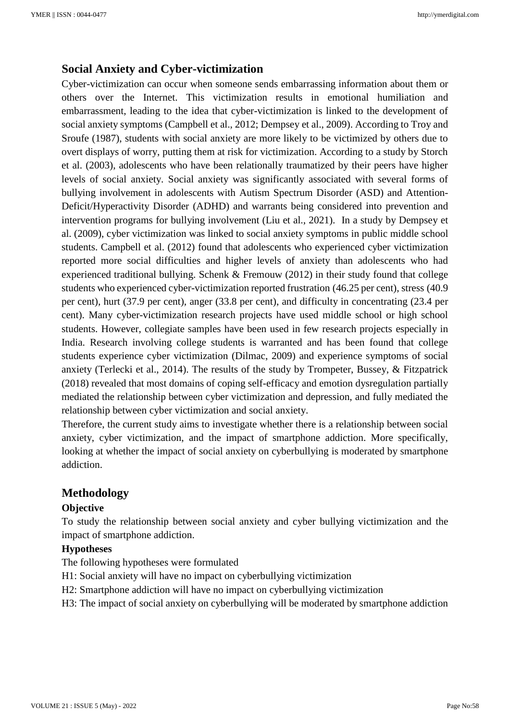### **Social Anxiety and Cyber-victimization**

Cyber-victimization can occur when someone sends embarrassing information about them or others over the Internet. This victimization results in emotional humiliation and embarrassment, leading to the idea that cyber-victimization is linked to the development of social anxiety symptoms (Campbell et al., 2012; Dempsey et al., 2009). According to Troy and Sroufe (1987), students with social anxiety are more likely to be victimized by others due to overt displays of worry, putting them at risk for victimization. According to a study by Storch et al. (2003), adolescents who have been relationally traumatized by their peers have higher levels of social anxiety. Social anxiety was significantly associated with several forms of bullying involvement in adolescents with Autism Spectrum Disorder (ASD) and Attention-Deficit/Hyperactivity Disorder (ADHD) and warrants being considered into prevention and intervention programs for bullying involvement (Liu et al., 2021). In a study by Dempsey et al. (2009), cyber victimization was linked to social anxiety symptoms in public middle school students. Campbell et al. (2012) found that adolescents who experienced cyber victimization reported more social difficulties and higher levels of anxiety than adolescents who had experienced traditional bullying. Schenk & Fremouw (2012) in their study found that college students who experienced cyber-victimization reported frustration (46.25 per cent), stress (40.9 per cent), hurt (37.9 per cent), anger (33.8 per cent), and difficulty in concentrating (23.4 per cent). Many cyber-victimization research projects have used middle school or high school students. However, collegiate samples have been used in few research projects especially in India. Research involving college students is warranted and has been found that college students experience cyber victimization (Dilmac, 2009) and experience symptoms of social anxiety (Terlecki et al., 2014). The results of the study by Trompeter, Bussey, & Fitzpatrick (2018) revealed that most domains of coping self-efficacy and emotion dysregulation partially mediated the relationship between cyber victimization and depression, and fully mediated the relationship between cyber victimization and social anxiety.

Therefore, the current study aims to investigate whether there is a relationship between social anxiety, cyber victimization, and the impact of smartphone addiction. More specifically, looking at whether the impact of social anxiety on cyberbullying is moderated by smartphone addiction.

## **Methodology**

#### **Objective**

To study the relationship between social anxiety and cyber bullying victimization and the impact of smartphone addiction.

#### **Hypotheses**

The following hypotheses were formulated

- H1: Social anxiety will have no impact on cyberbullying victimization
- H2: Smartphone addiction will have no impact on cyberbullying victimization

H3: The impact of social anxiety on cyberbullying will be moderated by smartphone addiction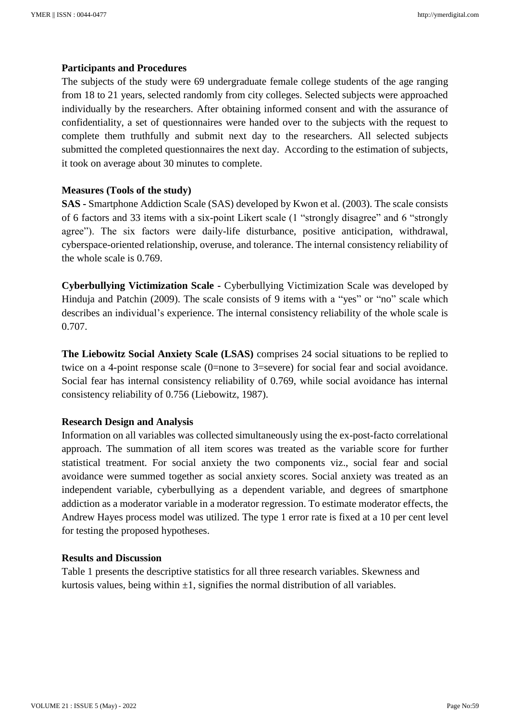#### **Participants and Procedures**

The subjects of the study were 69 undergraduate female college students of the age ranging from 18 to 21 years, selected randomly from city colleges. Selected subjects were approached individually by the researchers. After obtaining informed consent and with the assurance of confidentiality, a set of questionnaires were handed over to the subjects with the request to complete them truthfully and submit next day to the researchers. All selected subjects submitted the completed questionnaires the next day. According to the estimation of subjects, it took on average about 30 minutes to complete.

#### **Measures (Tools of the study)**

**SAS -** Smartphone Addiction Scale (SAS) developed by Kwon et al. (2003). The scale consists of 6 factors and 33 items with a six-point Likert scale (1 "strongly disagree" and 6 "strongly agree"). The six factors were daily-life disturbance, positive anticipation, withdrawal, cyberspace-oriented relationship, overuse, and tolerance. The internal consistency reliability of the whole scale is 0.769.

**Cyberbullying Victimization Scale -** Cyberbullying Victimization Scale was developed by Hinduja and Patchin (2009). The scale consists of 9 items with a "yes" or "no" scale which describes an individual's experience. The internal consistency reliability of the whole scale is 0.707.

**The Liebowitz Social Anxiety Scale (LSAS)** comprises 24 social situations to be replied to twice on a 4-point response scale (0=none to 3=severe) for social fear and social avoidance. Social fear has internal consistency reliability of 0.769, while social avoidance has internal consistency reliability of 0.756 (Liebowitz, 1987).

#### **Research Design and Analysis**

Information on all variables was collected simultaneously using the ex-post-facto correlational approach. The summation of all item scores was treated as the variable score for further statistical treatment. For social anxiety the two components viz., social fear and social avoidance were summed together as social anxiety scores. Social anxiety was treated as an independent variable, cyberbullying as a dependent variable, and degrees of smartphone addiction as a moderator variable in a moderator regression. To estimate moderator effects, the Andrew Hayes process model was utilized. The type 1 error rate is fixed at a 10 per cent level for testing the proposed hypotheses.

#### **Results and Discussion**

Table 1 presents the descriptive statistics for all three research variables. Skewness and kurtosis values, being within  $\pm 1$ , signifies the normal distribution of all variables.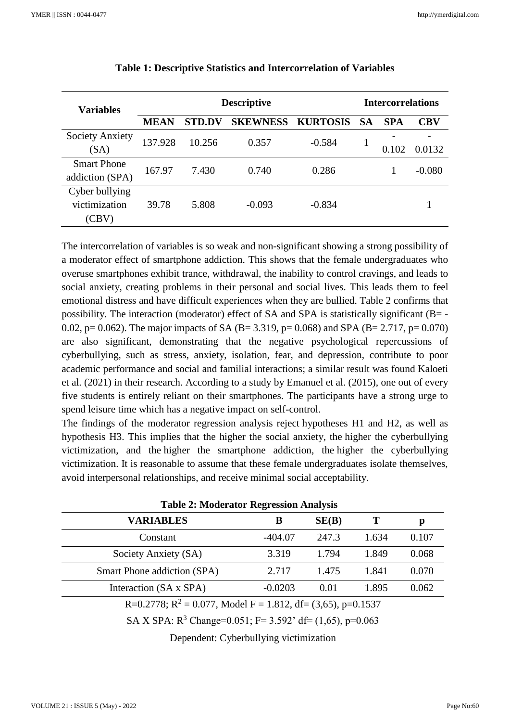| <b>Variables</b>                         | <b>Descriptive</b> |               |                 |                 | <b>Intercorrelations</b> |            |            |
|------------------------------------------|--------------------|---------------|-----------------|-----------------|--------------------------|------------|------------|
|                                          | <b>MEAN</b>        | <b>STD.DV</b> | <b>SKEWNESS</b> | <b>KURTOSIS</b> | <b>SA</b>                | <b>SPA</b> | <b>CBV</b> |
| <b>Society Anxiety</b><br>(SA)           | 137.928            | 10.256        | 0.357           | $-0.584$        |                          | 0.102      | 0.0132     |
| <b>Smart Phone</b><br>addiction (SPA)    | 167.97             | 7.430         | 0.740           | 0.286           |                          |            | $-0.080$   |
| Cyber bullying<br>victimization<br>(CBV) | 39.78              | 5.808         | $-0.093$        | $-0.834$        |                          |            |            |

| Table 1: Descriptive Statistics and Intercorrelation of Variables |  |  |
|-------------------------------------------------------------------|--|--|
|-------------------------------------------------------------------|--|--|

The intercorrelation of variables is so weak and non-significant showing a strong possibility of a moderator effect of smartphone addiction. This shows that the female undergraduates who overuse smartphones exhibit trance, withdrawal, the inability to control cravings, and leads to social anxiety, creating problems in their personal and social lives. This leads them to feel emotional distress and have difficult experiences when they are bullied. Table 2 confirms that possibility. The interaction (moderator) effect of SA and SPA is statistically significant  $(B = -1)$ 0.02, p= 0.062). The major impacts of SA (B= 3.319, p= 0.068) and SPA (B= 2.717, p= 0.070) are also significant, demonstrating that the negative psychological repercussions of cyberbullying, such as stress, anxiety, isolation, fear, and depression, contribute to poor academic performance and social and familial interactions; a similar result was found Kaloeti et al. (2021) in their research. According to a study by Emanuel et al. (2015), one out of every five students is entirely reliant on their smartphones. The participants have a strong urge to spend leisure time which has a negative impact on self-control.

The findings of the moderator regression analysis reject hypotheses H1 and H2, as well as hypothesis H3. This implies that the higher the social anxiety, the higher the cyberbullying victimization, and the higher the smartphone addiction, the higher the cyberbullying victimization. It is reasonable to assume that these female undergraduates isolate themselves, avoid interpersonal relationships, and receive minimal social acceptability.

| <b>Table 2: Moderator Regression Analysis</b>                            |           |       |       |       |  |  |
|--------------------------------------------------------------------------|-----------|-------|-------|-------|--|--|
| <b>VARIABLES</b>                                                         | В         | SE(B) | Т     | p     |  |  |
| Constant                                                                 | $-404.07$ | 247.3 | 1.634 | 0.107 |  |  |
| Society Anxiety (SA)                                                     | 3.319     | 1.794 | 1.849 | 0.068 |  |  |
| Smart Phone addiction (SPA)                                              | 2.717     | 1.475 | 1.841 | 0.070 |  |  |
| Interaction (SA x SPA)                                                   | $-0.0203$ | 0.01  | 1.895 | 0.062 |  |  |
| R=0.2778; R <sup>2</sup> = 0.077, Model F = 1.812, df = (3,65), p=0.1537 |           |       |       |       |  |  |
| SA X SPA: $R^3$ Change=0.051; F= 3.592' df= (1,65), p=0.063              |           |       |       |       |  |  |

Dependent: Cyberbullying victimization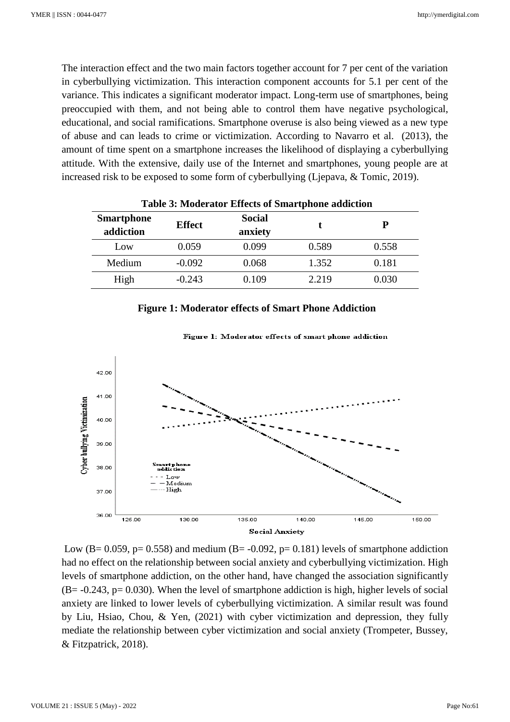The interaction effect and the two main factors together account for 7 per cent of the variation in cyberbullying victimization. This interaction component accounts for 5.1 per cent of the variance. This indicates a significant moderator impact. Long-term use of smartphones, being preoccupied with them, and not being able to control them have negative psychological, educational, and social ramifications. Smartphone overuse is also being viewed as a new type of abuse and can leads to crime or victimization. According to Navarro et al. (2013), the amount of time spent on a smartphone increases the likelihood of displaying a cyberbullying attitude. With the extensive, daily use of the Internet and smartphones, young people are at increased risk to be exposed to some form of cyberbullying (Ljepava, & Tomic, 2019).

| <b>Smartphone</b><br>addiction | <b>Effect</b> | <b>Social</b><br>anxiety |       | р     |  |
|--------------------------------|---------------|--------------------------|-------|-------|--|
| Low                            | 0.059         | 0.099                    | 0.589 | 0.558 |  |
| Medium                         | $-0.092$      | 0.068                    | 1.352 | 0.181 |  |
| High                           | $-0.243$      | 0.109                    | 2.219 | 0.030 |  |

#### **Figure 1: Moderator effects of Smart Phone Addiction**



Figure 1: Moderator effects of smart phone addiction

Low (B= 0.059, p= 0.558) and medium (B= -0.092, p= 0.181) levels of smartphone addiction had no effect on the relationship between social anxiety and cyberbullying victimization. High levels of smartphone addiction, on the other hand, have changed the association significantly  $(B = -0.243, p = 0.030)$ . When the level of smartphone addiction is high, higher levels of social anxiety are linked to lower levels of cyberbullying victimization. A similar result was found by Liu, Hsiao, Chou, & Yen, (2021) with cyber victimization and depression, they fully mediate the relationship between cyber victimization and social anxiety (Trompeter, Bussey, & Fitzpatrick, 2018).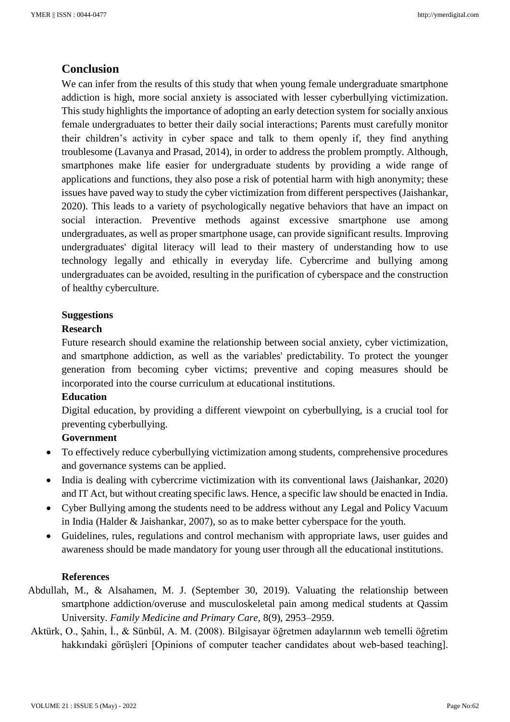## **Conclusion**

We can infer from the results of this study that when young female undergraduate smartphone addiction is high, more social anxiety is associated with lesser cyberbullying victimization. This study highlights the importance of adopting an early detection system for socially anxious female undergraduates to better their daily social interactions; Parents must carefully monitor their children's activity in cyber space and talk to them openly if, they find anything troublesome (Lavanya and Prasad, 2014), in order to address the problem promptly. Although, smartphones make life easier for undergraduate students by providing a wide range of applications and functions, they also pose a risk of potential harm with high anonymity; these issues have paved way to study the cyber victimization from different perspectives (Jaishankar, 2020). This leads to a variety of psychologically negative behaviors that have an impact on social interaction. Preventive methods against excessive smartphone use among undergraduates, as well as proper smartphone usage, can provide significant results. Improving undergraduates' digital literacy will lead to their mastery of understanding how to use technology legally and ethically in everyday life. Cybercrime and bullying among undergraduates can be avoided, resulting in the purification of cyberspace and the construction of healthy cyberculture.

#### **Suggestions**

#### **Research**

Future research should examine the relationship between social anxiety, cyber victimization, and smartphone addiction, as well as the variables' predictability. To protect the younger generation from becoming cyber victims; preventive and coping measures should be incorporated into the course curriculum at educational institutions.

#### **Education**

Digital education, by providing a different viewpoint on cyberbullying, is a crucial tool for preventing cyberbullying.

## **Government**

- To effectively reduce cyberbullying victimization among students, comprehensive procedures and governance systems can be applied.
- India is dealing with cybercrime victimization with its conventional laws (Jaishankar, 2020) and IT Act, but without creating specific laws. Hence, a specific law should be enacted in India.
- Cyber Bullying among the students need to be address without any Legal and Policy Vacuum in India (Halder & Jaishankar, 2007), so as to make better cyberspace for the youth.
- Guidelines, rules, regulations and control mechanism with appropriate laws, user guides and awareness should be made mandatory for young user through all the educational institutions.

#### **References**

- Abdullah, M., & Alsahamen, M. J. (September 30, 2019). Valuating the relationship between smartphone addiction/overuse and musculoskeletal pain among medical students at Qassim University. *Family Medicine and Primary Care*, 8(9), 2953–2959.
- Aktürk, O., Şahin, İ., & Sünbül, A. M. (2008). Bilgisayar öğretmen adaylarının web temelli öğretim hakkındaki görüşleri [Opinions of computer teacher candidates about web-based teaching].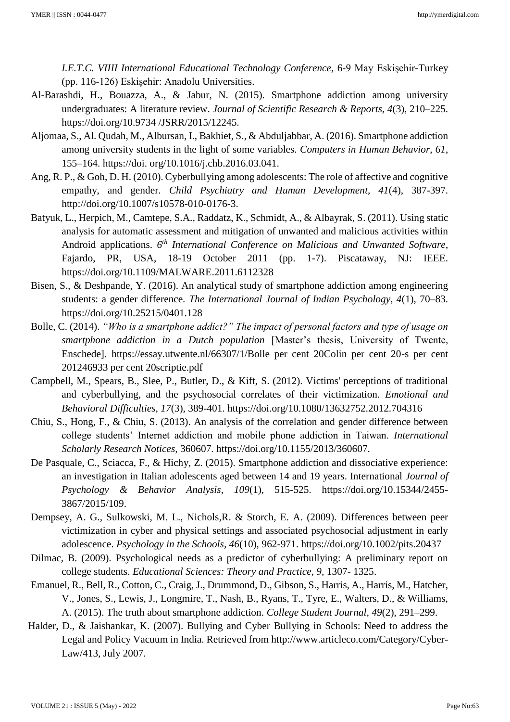*I.E.T.C. VIIII International Educational Technology Conference*, 6-9 May Eskişehir-Turkey (pp. 116-126) Eskişehir: Anadolu Universities.

- Al-Barashdi, H., Bouazza, A., & Jabur, N. (2015). Smartphone addiction among university undergraduates: A literature review. *Journal of Scientific Research & Reports, 4*(3), 210–225. https://doi.org/10.9734 /JSRR/2015/12245.
- Aljomaa, S., Al. Qudah, M., Albursan, I., Bakhiet, S., & Abduljabbar, A. (2016). Smartphone addiction among university students in the light of some variables. *Computers in Human Behavior, 61*, 155–164. https://doi. org/10.1016/j.chb.2016.03.041.
- Ang, R. P., & Goh, D. H. (2010). Cyberbullying among adolescents: The role of affective and cognitive empathy, and gender. *Child Psychiatry and Human Development, 41*(4), 387-397. http://doi.org/10.1007/s10578-010-0176-3.
- Batyuk, L., Herpich, M., Camtepe, S.A., Raddatz, K., Schmidt, A., & Albayrak, S. (2011). Using static analysis for automatic assessment and mitigation of unwanted and malicious activities within Android applications. *6 th International Conference on Malicious and Unwanted Software*, Fajardo, PR, USA, 18-19 October 2011 (pp. 1-7). Piscataway, NJ: IEEE. https://doi.org/10.1109/MALWARE.2011.6112328
- Bisen, S., & Deshpande, Y. (2016). An analytical study of smartphone addiction among engineering students: a gender difference. *The International Journal of Indian Psychology, 4*(1), 70–83. https://doi.org/10.25215/0401.128
- Bolle, C. (2014). *"Who is a smartphone addict?" The impact of personal factors and type of usage on smartphone addiction in a Dutch population* [Master's thesis, University of Twente, Enschede]. https://essay.utwente.nl/66307/1/Bolle per cent 20Colin per cent 20-s per cent 201246933 per cent 20scriptie.pdf
- Campbell, M., Spears, B., Slee, P., Butler, D., & Kift, S. (2012). Victims' perceptions of traditional and cyberbullying, and the psychosocial correlates of their victimization. *Emotional and Behavioral Difficulties, 17*(3), 389-401. https://doi.org/10.1080/13632752.2012.704316
- Chiu, S., Hong, F., & Chiu, S. (2013). An analysis of the correlation and gender difference between college students' Internet addiction and mobile phone addiction in Taiwan. *International Scholarly Research Notices,* 360607. https://doi.org/10.1155/2013/360607.
- De Pasquale, C., Sciacca, F., & Hichy, Z. (2015). Smartphone addiction and dissociative experience: an investigation in Italian adolescents aged between 14 and 19 years. International *Journal of Psychology & Behavior Analysis, 109*(1), 515-525. https://doi.org/10.15344/2455- 3867/2015/109.
- Dempsey, A. G., Sulkowski, M. L., Nichols,R. & Storch, E. A. (2009). Differences between peer victimization in cyber and physical settings and associated psychosocial adjustment in early adolescence. *Psychology in the Schools, 46*(10), 962-971. https://doi.org/10.1002/pits.20437
- Dilmac, B. (2009). Psychological needs as a predictor of cyberbullying: A preliminary report on college students. *Educational Sciences: Theory and Practice, 9,* 1307- 1325.
- Emanuel, R., Bell, R., Cotton, C., Craig, J., Drummond, D., Gibson, S., Harris, A., Harris, M., Hatcher, V., Jones, S., Lewis, J., Longmire, T., Nash, B., Ryans, T., Tyre, E., Walters, D., & Williams, A. (2015). The truth about smartphone addiction. *College Student Journal, 49*(2), 291–299.
- Halder, D., & Jaishankar, K. (2007). Bullying and Cyber Bullying in Schools: Need to address the Legal and Policy Vacuum in India. Retrieved from http://www.articleco.com/Category/Cyber-Law/413, July 2007.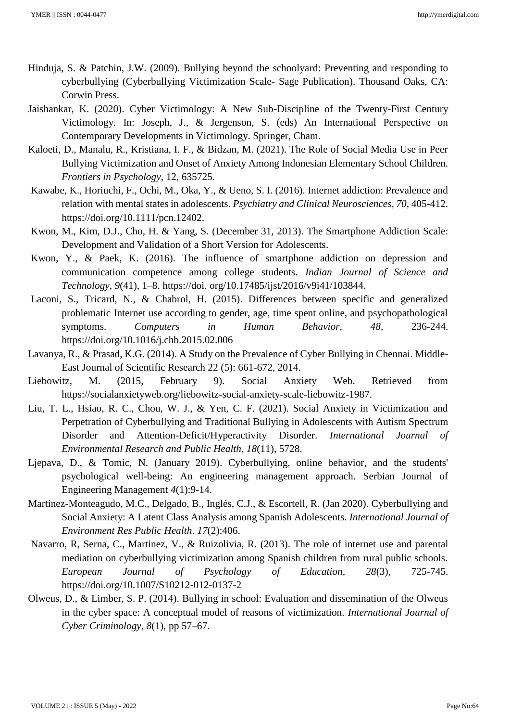- Hinduja, S. & Patchin, J.W. (2009). Bullying beyond the schoolyard: Preventing and responding to cyberbullying (Cyberbullying Victimization Scale- Sage Publication). Thousand Oaks, CA: Corwin Press.
- Jaishankar, K. (2020). Cyber Victimology: A New Sub-Discipline of the Twenty-First Century Victimology. In: Joseph, J., & Jergenson, S. (eds) An International Perspective on Contemporary Developments in Victimology. Springer, Cham.
- Kaloeti, D., Manalu, R., Kristiana, I. F., & Bidzan, M. (2021). The Role of Social Media Use in Peer Bullying Victimization and Onset of Anxiety Among Indonesian Elementary School Children. *Frontiers in Psychology*, 12, 635725.
- Kawabe, K., Horiuchi, F., Ochi, M., Oka, Y., & Ueno, S. I. (2016). Internet addiction: Prevalence and relation with mental states in adolescents. *Psychiatry and Clinical Neurosciences, 70*, 405-412. https://doi.org/10.1111/pcn.12402.
- Kwon, M., Kim, D.J., Cho, H. & Yang, S. (December 31, 2013). The Smartphone Addiction Scale: Development and Validation of a Short Version for Adolescents.
- Kwon, Y., & Paek, K. (2016). The influence of smartphone addiction on depression and communication competence among college students. *Indian Journal of Science and Technology, 9*(41), 1–8. https://doi. org/10.17485/ijst/2016/v9i41/103844.
- Laconi, S., Tricard, N., & Chabrol, H. (2015). Differences between specific and generalized problematic Internet use according to gender, age, time spent online, and psychopathological symptoms. *Computers in Human Behavior, 48,* 236-244. https://doi.org/10.1016/j.chb.2015.02.006
- Lavanya, R., & Prasad, K.G. (2014). A Study on the Prevalence of Cyber Bullying in Chennai. Middle-East Journal of Scientific Research 22 (5): 661-672, 2014.
- Liebowitz, M. (2015, February 9). Social Anxiety Web. Retrieved from https://socialanxietyweb.org/liebowitz-social-anxiety-scale-liebowitz-1987.
- Liu, T. L., Hsiao, R. C., Chou, W. J., & Yen, C. F. (2021). Social Anxiety in Victimization and Perpetration of Cyberbullying and Traditional Bullying in Adolescents with Autism Spectrum Disorder and Attention-Deficit/Hyperactivity Disorder. *International Journal of Environmental Research and Public Health*, *18*(11), 5728.
- Ljepava, D., & Tomic, N. (January 2019). Cyberbullying, online behavior, and the students' psychological well-being: An engineering management approach. Serbian Journal of Engineering Management *4*(1):9-14.
- Martínez-Monteagudo, M.C., Delgado, B., Inglés, C.J., & Escortell, R. (Jan 2020). Cyberbullying and Social Anxiety: A Latent Class Analysis among Spanish Adolescents. *International Journal of Environment Res Public Health*. *17*(2):406.
- Navarro, R, Serna, C., Martinez, V., & Ruizolivia, R. (2013). The role of internet use and parental mediation on cyberbullying victimization among Spanish children from rural public schools. *European Journal of Psychology of Education, 28*(3), 725-745. https://doi.org/10.1007/S10212-012-0137-2
- Olweus, D., & Limber, S. P. (2014). Bullying in school: Evaluation and dissemination of the Olweus in the cyber space: A conceptual model of reasons of victimization. *International Journal of Cyber Criminology, 8*(1), pp 57–67.